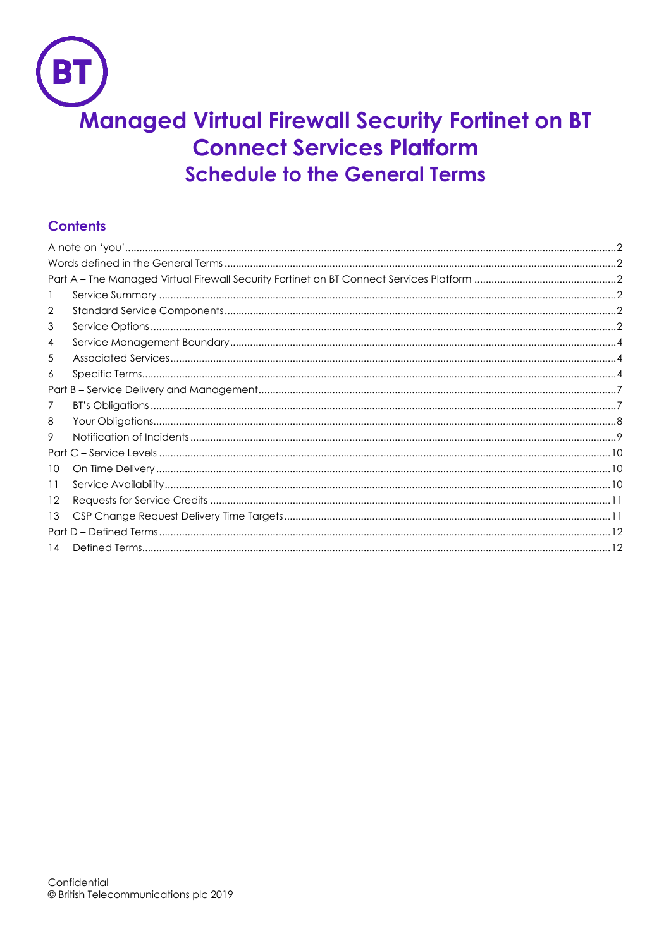# **Managed Virtual Firewall Security Fortinet on BT Connect Services Platform Schedule to the General Terms**

# **Contents**

| 1    |  |  |  |  |
|------|--|--|--|--|
| 2    |  |  |  |  |
| 3    |  |  |  |  |
| 4    |  |  |  |  |
| 5    |  |  |  |  |
| 6    |  |  |  |  |
|      |  |  |  |  |
| 7    |  |  |  |  |
| 8    |  |  |  |  |
| 9    |  |  |  |  |
|      |  |  |  |  |
| 10   |  |  |  |  |
| 11   |  |  |  |  |
| 12   |  |  |  |  |
| 13   |  |  |  |  |
| Part |  |  |  |  |
| 14   |  |  |  |  |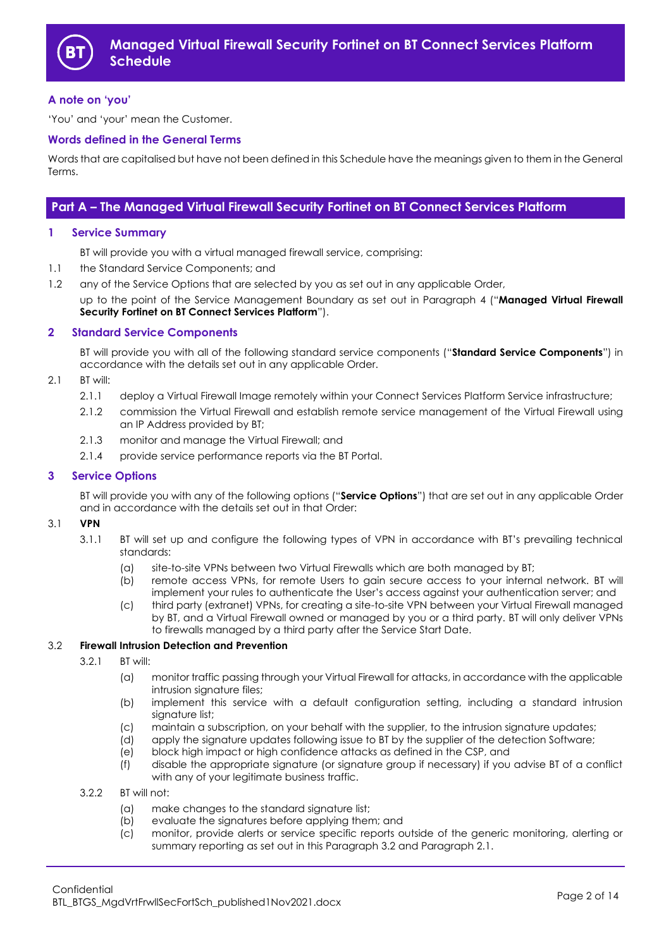

## <span id="page-1-0"></span>**A note on 'you'**

'You' and 'your' mean the Customer.

#### <span id="page-1-1"></span>**Words defined in the General Terms**

Words that are capitalised but have not been defined in this Schedule have the meanings given to them in the General Terms.

## <span id="page-1-2"></span>**Part A – The Managed Virtual Firewall Security Fortinet on BT Connect Services Platform**

#### <span id="page-1-3"></span>**1 Service Summary**

BT will provide you with a virtual managed firewall service, comprising:

- 1.1 the Standard Service Components; and
- 1.2 any of the Service Options that are selected by you as set out in any applicable Order,

up to the point of the Service Management Boundary as set out in Paragraph [4](#page-3-0) ("**Managed Virtual Firewall Security Fortinet on BT Connect Services Platform**").

#### <span id="page-1-4"></span>**2 Standard Service Components**

BT will provide you with all of the following standard service components ("**Standard Service Components**") in accordance with the details set out in any applicable Order.

#### <span id="page-1-7"></span>2.1 BT will:

- 2.1.1 deploy a Virtual Firewall Image remotely within your Connect Services Platform Service infrastructure;
- 2.1.2 commission the Virtual Firewall and establish remote service management of the Virtual Firewall using an IP Address provided by BT;
- 2.1.3 monitor and manage the Virtual Firewall; and
- 2.1.4 provide service performance reports via the BT Portal.

#### <span id="page-1-5"></span>**3 Service Options**

BT will provide you with any of the following options ("**Service Options**") that are set out in any applicable Order and in accordance with the details set out in that Order:

#### <span id="page-1-8"></span>3.1 **VPN**

- 3.1.1 BT will set up and configure the following types of VPN in accordance with BT's prevailing technical standards:
	- (a) site-to-site VPNs between two Virtual Firewalls which are both managed by BT;
	- (b) remote access VPNs, for remote Users to gain secure access to your internal network. BT will implement your rules to authenticate the User's access against your authentication server; and
	- (c) third party (extranet) VPNs, for creating a site-to-site VPN between your Virtual Firewall managed by BT, and a Virtual Firewall owned or managed by you or a third party. BT will only deliver VPNs to firewalls managed by a third party after the Service Start Date.

## <span id="page-1-6"></span>3.2 **Firewall Intrusion Detection and Prevention**

- 3.2.1 BT will:
	- (a) monitor traffic passing through your Virtual Firewall for attacks, in accordance with the applicable intrusion signature files;
	- (b) implement this service with a default configuration setting, including a standard intrusion signature list;
	- (c) maintain a subscription, on your behalf with the supplier, to the intrusion signature updates;
	- (d) apply the signature updates following issue to BT by the supplier of the detection Software;
	- (e) block high impact or high confidence attacks as defined in the CSP, and
	- (f) disable the appropriate signature (or signature group if necessary) if you advise BT of a conflict with any of your legitimate business traffic.
- 3.2.2 BT will not:
	- (a) make changes to the standard signature list;
	- (b) evaluate the signatures before applying them; and
	- (c) monitor, provide alerts or service specific reports outside of the generic monitoring, alerting or summary reporting as set out in this Paragraph [3.2](#page-1-6) and Paragraph [2.1.](#page-1-7)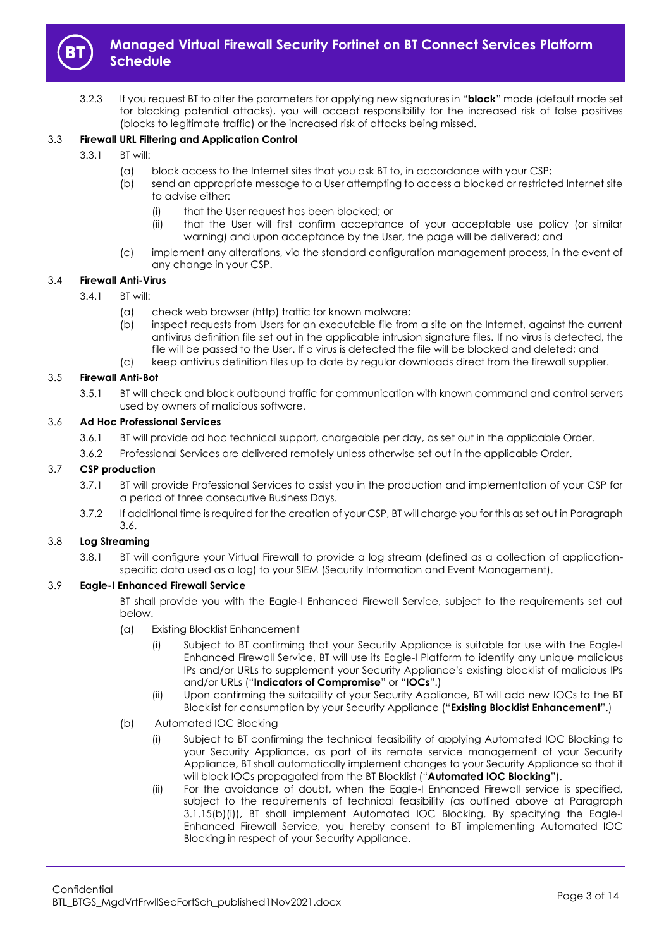

3.2.3 If you request BT to alter the parameters for applying new signatures in "**block**" mode (default mode set for blocking potential attacks), you will accept responsibility for the increased risk of false positives (blocks to legitimate traffic) or the increased risk of attacks being missed.

## <span id="page-2-7"></span>3.3 **Firewall URL Filtering and Application Control**

- 3.3.1 BT will:
	- (a) block access to the Internet sites that you ask BT to, in accordance with your CSP;
	- (b) send an appropriate message to a User attempting to access a blocked or restricted Internet site to advise either:
		- (i) that the User request has been blocked; or
		- (ii) that the User will first confirm acceptance of your acceptable use policy (or similar warning) and upon acceptance by the User, the page will be delivered; and
	- (c) implement any alterations, via the standard configuration management process, in the event of any change in your CSP.

## <span id="page-2-6"></span>3.4 **Firewall Anti-Virus**

- 3.4.1 BT will:
	- (a) check web browser (http) traffic for known malware;
	- (b) inspect requests from Users for an executable file from a site on the Internet, against the current antivirus definition file set out in the applicable intrusion signature files. If no virus is detected, the file will be passed to the User. If a virus is detected the file will be blocked and deleted; and
	- (c) keep antivirus definition files up to date by regular downloads direct from the firewall supplier.

#### <span id="page-2-5"></span>3.5 **Firewall Anti-Bot**

3.5.1 BT will check and block outbound traffic for communication with known command and control servers used by owners of malicious software.

#### <span id="page-2-0"></span>3.6 **Ad Hoc Professional Services**

- 3.6.1 BT will provide ad hoc technical support, chargeable per day, as set out in the applicable Order.
- 3.6.2 Professional Services are delivered remotely unless otherwise set out in the applicable Order.

#### <span id="page-2-2"></span>3.7 **CSP production**

- 3.7.1 BT will provide Professional Services to assist you in the production and implementation of your CSP for a period of three consecutive Business Days.
- 3.7.2 If additional time is required for the creation of your CSP, BT will charge you for this as set out in Paragraph [3.6.](#page-2-0)

## <span id="page-2-9"></span>3.8 **Log Streaming**

3.8.1 BT will configure your Virtual Firewall to provide a log stream (defined as a collection of applicationspecific data used as a log) to your SIEM (Security Information and Event Management).

## <span id="page-2-8"></span><span id="page-2-3"></span>3.9 **Eagle-I Enhanced Firewall Service**

BT shall provide you with the Eagle-I Enhanced Firewall Service, subject to the requirements set out below.

- (a) Existing Blocklist Enhancement
	- (i) Subject to BT confirming that your Security Appliance is suitable for use with the Eagle-I Enhanced Firewall Service, BT will use its Eagle-I Platform to identify any unique malicious IPs and/or URLs to supplement your Security Appliance's existing blocklist of malicious IPs and/or URLs ("**Indicators of Compromise**" or "**IOCs**".)
	- (ii) Upon confirming the suitability of your Security Appliance, BT will add new IOCs to the BT Blocklist for consumption by your Security Appliance ("**Existing Blocklist Enhancement**".)
- <span id="page-2-4"></span><span id="page-2-1"></span>(b) Automated IOC Blocking
	- (i) Subject to BT confirming the technical feasibility of applying Automated IOC Blocking to your Security Appliance, as part of its remote service management of your Security Appliance, BT shall automatically implement changes to your Security Appliance so that it will block IOCs propagated from the BT Blocklist ("**Automated IOC Blocking**").
	- (ii) For the avoidance of doubt, when the Eagle-I Enhanced Firewall service is specified, subject to the requirements of technical feasibility (as outlined above at Paragraph 3.1.15(b[\)\(i\)\)](#page-2-1), BT shall implement Automated IOC Blocking. By specifying the Eagle-I Enhanced Firewall Service, you hereby consent to BT implementing Automated IOC Blocking in respect of your Security Appliance.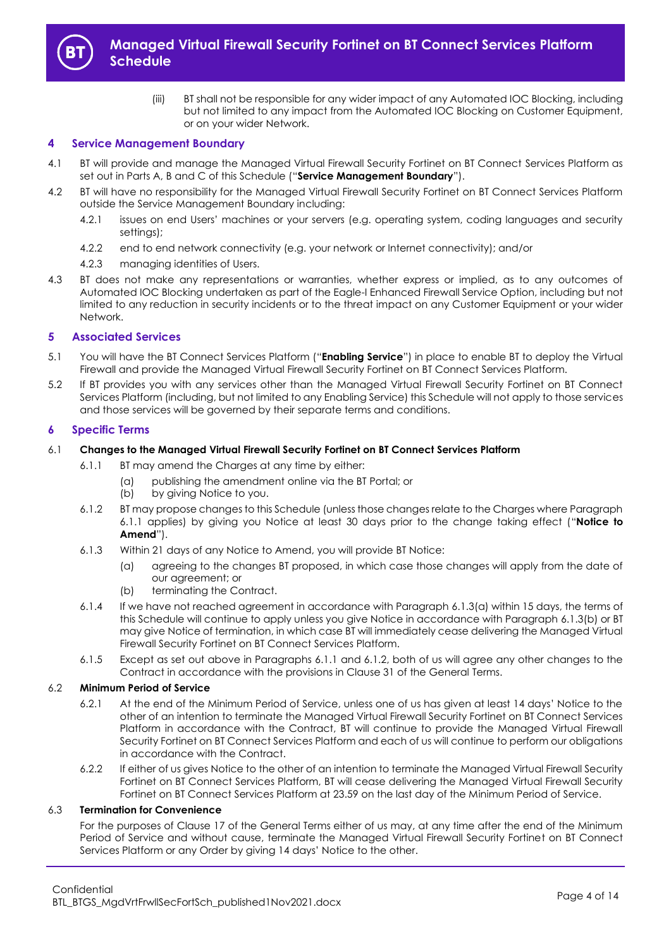

(iii) BT shall not be responsible for any wider impact of any Automated IOC Blocking, including but not limited to any impact from the Automated IOC Blocking on Customer Equipment, or on your wider Network.

## <span id="page-3-0"></span>**4 Service Management Boundary**

- 4.1 BT will provide and manage the Managed Virtual Firewall Security Fortinet on BT Connect Services Platform as set out in Parts A, B and C of this Schedule ("**Service Management Boundary**").
- 4.2 BT will have no responsibility for the Managed Virtual Firewall Security Fortinet on BT Connect Services Platform outside the Service Management Boundary including:
	- 4.2.1 issues on end Users' machines or your servers (e.g. operating system, coding languages and security settings);
	- 4.2.2 end to end network connectivity (e.g. your network or Internet connectivity); and/or
	- 4.2.3 managing identities of Users.
- 4.3 BT does not make any representations or warranties, whether express or implied, as to any outcomes of Automated IOC Blocking undertaken as part of the Eagle-I Enhanced Firewall Service Option, including but not limited to any reduction in security incidents or to the threat impact on any Customer Equipment or your wider Network.

#### <span id="page-3-1"></span>**5 Associated Services**

- <span id="page-3-7"></span>5.1 You will have the BT Connect Services Platform ("**Enabling Service**") in place to enable BT to deploy the Virtual Firewall and provide the Managed Virtual Firewall Security Fortinet on BT Connect Services Platform.
- 5.2 If BT provides you with any services other than the Managed Virtual Firewall Security Fortinet on BT Connect Services Platform (including, but not limited to any Enabling Service) this Schedule will not apply to those services and those services will be governed by their separate terms and conditions.

#### <span id="page-3-2"></span>**6 Specific Terms**

#### <span id="page-3-3"></span>6.1 **Changes to the Managed Virtual Firewall Security Fortinet on BT Connect Services Platform**

- 6.1.1 BT may amend the Charges at any time by either:
	- (a) publishing the amendment online via the BT Portal; or
	- (b) by giving Notice to you.
- <span id="page-3-6"></span>6.1.2 BT may propose changes to this Schedule (unless those changes relate to the Charges where Paragraph [6.1.1](#page-3-3) applies) by giving you Notice at least 30 days prior to the change taking effect ("**Notice to Amend**").
- <span id="page-3-4"></span>6.1.3 Within 21 days of any Notice to Amend, you will provide BT Notice:
	- (a) agreeing to the changes BT proposed, in which case those changes will apply from the date of our agreement; or
	- (b) terminating the Contract.
- <span id="page-3-5"></span>6.1.4 If we have not reached agreement in accordance with Paragraph [6.1.3\(a\)](#page-3-4) within 15 days, the terms of this Schedule will continue to apply unless you give Notice in accordance with Paragrap[h 6.1.3\(b\)](#page-3-5) or BT may give Notice of termination, in which case BT will immediately cease delivering the Managed Virtual Firewall Security Fortinet on BT Connect Services Platform.
- 6.1.5 Except as set out above in Paragraphs [6.1.1](#page-3-3) and [6.1.2,](#page-3-6) both of us will agree any other changes to the Contract in accordance with the provisions in Clause 31 of the General Terms.

## 6.2 **Minimum Period of Service**

- 6.2.1 At the end of the Minimum Period of Service, unless one of us has given at least 14 days' Notice to the other of an intention to terminate the Managed Virtual Firewall Security Fortinet on BT Connect Services Platform in accordance with the Contract, BT will continue to provide the Managed Virtual Firewall Security Fortinet on BT Connect Services Platform and each of us will continue to perform our obligations in accordance with the Contract.
- 6.2.2 If either of us gives Notice to the other of an intention to terminate the Managed Virtual Firewall Security Fortinet on BT Connect Services Platform, BT will cease delivering the Managed Virtual Firewall Security Fortinet on BT Connect Services Platform at 23.59 on the last day of the Minimum Period of Service.

## 6.3 **Termination for Convenience**

For the purposes of Clause 17 of the General Terms either of us may, at any time after the end of the Minimum Period of Service and without cause, terminate the Managed Virtual Firewall Security Fortinet on BT Connect Services Platform or any Order by giving 14 days' Notice to the other.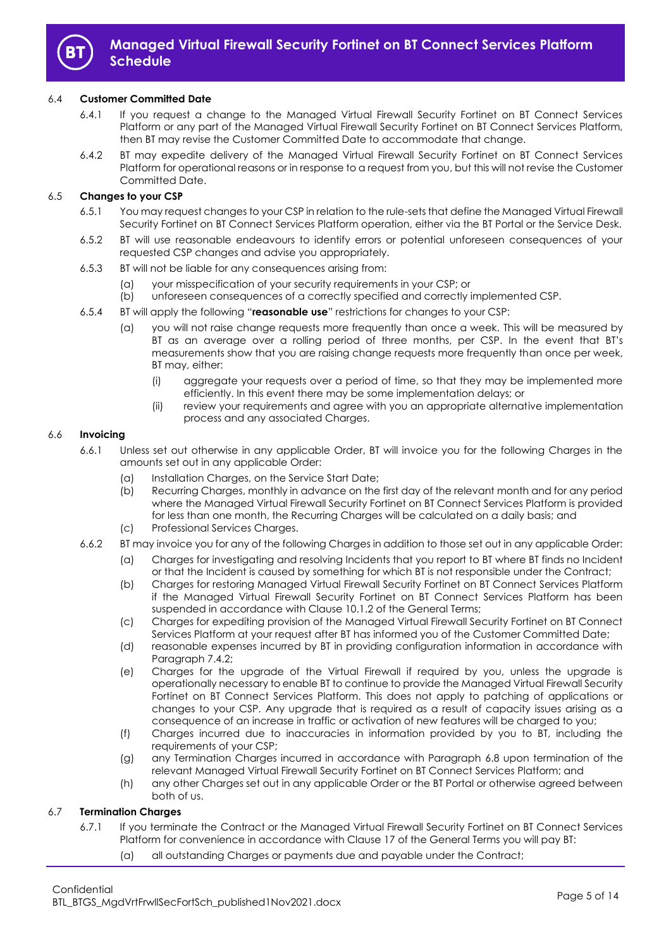

#### 6.4 **Customer Committed Date**

- 6.4.1 If you request a change to the Managed Virtual Firewall Security Fortinet on BT Connect Services Platform or any part of the Managed Virtual Firewall Security Fortinet on BT Connect Services Platform, then BT may revise the Customer Committed Date to accommodate that change.
- 6.4.2 BT may expedite delivery of the Managed Virtual Firewall Security Fortinet on BT Connect Services Platform for operational reasons or in response to a request from you, but this will not revise the Customer Committed Date.

## <span id="page-4-1"></span><span id="page-4-0"></span>6.5 **Changes to your CSP**

- 6.5.1 You may request changes to your CSP in relation to the rule-sets that define the Managed Virtual Firewall Security Fortinet on BT Connect Services Platform operation, either via the BT Portal or the Service Desk.
- 6.5.2 BT will use reasonable endeavours to identify errors or potential unforeseen consequences of your requested CSP changes and advise you appropriately.
- 6.5.3 BT will not be liable for any consequences arising from:
	- (a) your misspecification of your security requirements in your CSP; or
	- (b) unforeseen consequences of a correctly specified and correctly implemented CSP.
- 6.5.4 BT will apply the following "**reasonable use**" restrictions for changes to your CSP:
	- (a) you will not raise change requests more frequently than once a week. This will be measured by BT as an average over a rolling period of three months, per CSP. In the event that BT's measurements show that you are raising change requests more frequently than once per week, BT may, either:
		- (i) aggregate your requests over a period of time, so that they may be implemented more efficiently. In this event there may be some implementation delays; or
		- (ii) review your requirements and agree with you an appropriate alternative implementation process and any associated Charges.

#### 6.6 **Invoicing**

- 6.6.1 Unless set out otherwise in any applicable Order, BT will invoice you for the following Charges in the amounts set out in any applicable Order:
	- (a) Installation Charges, on the Service Start Date;
	- (b) Recurring Charges, monthly in advance on the first day of the relevant month and for any period where the Managed Virtual Firewall Security Fortinet on BT Connect Services Platform is provided for less than one month, the Recurring Charges will be calculated on a daily basis; and
	- (c) Professional Services Charges.
- 6.6.2 BT may invoice you for any of the following Charges in addition to those set out in any applicable Order:
	- (a) Charges for investigating and resolving Incidents that you report to BT where BT finds no Incident or that the Incident is caused by something for which BT is not responsible under the Contract;
	- (b) Charges for restoring Managed Virtual Firewall Security Fortinet on BT Connect Services Platform if the Managed Virtual Firewall Security Fortinet on BT Connect Services Platform has been suspended in accordance with Clause 10.1.2 of the General Terms;
	- (c) Charges for expediting provision of the Managed Virtual Firewall Security Fortinet on BT Connect Services Platform at your request after BT has informed you of the Customer Committed Date;
	- (d) reasonable expenses incurred by BT in providing configuration information in accordance with Paragraph [7.4.2;](#page-6-2)
	- (e) Charges for the upgrade of the Virtual Firewall if required by you, unless the upgrade is operationally necessary to enable BT to continue to provide the Managed Virtual Firewall Security Fortinet on BT Connect Services Platform. This does not apply to patching of applications or changes to your CSP. Any upgrade that is required as a result of capacity issues arising as a consequence of an increase in traffic or activation of new features will be charged to you;
	- (f) Charges incurred due to inaccuracies in information provided by you to BT, including the requirements of your CSP;
	- (g) any Termination Charges incurred in accordance with Paragraph [6.8](#page-5-0) upon termination of the relevant Managed Virtual Firewall Security Fortinet on BT Connect Services Platform; and
	- (h) any other Charges set out in any applicable Order or the BT Portal or otherwise agreed between both of us.

## 6.7 **Termination Charges**

- 6.7.1 If you terminate the Contract or the Managed Virtual Firewall Security Fortinet on BT Connect Services Platform for convenience in accordance with Clause 17 of the General Terms you will pay BT:
	- (a) all outstanding Charges or payments due and payable under the Contract;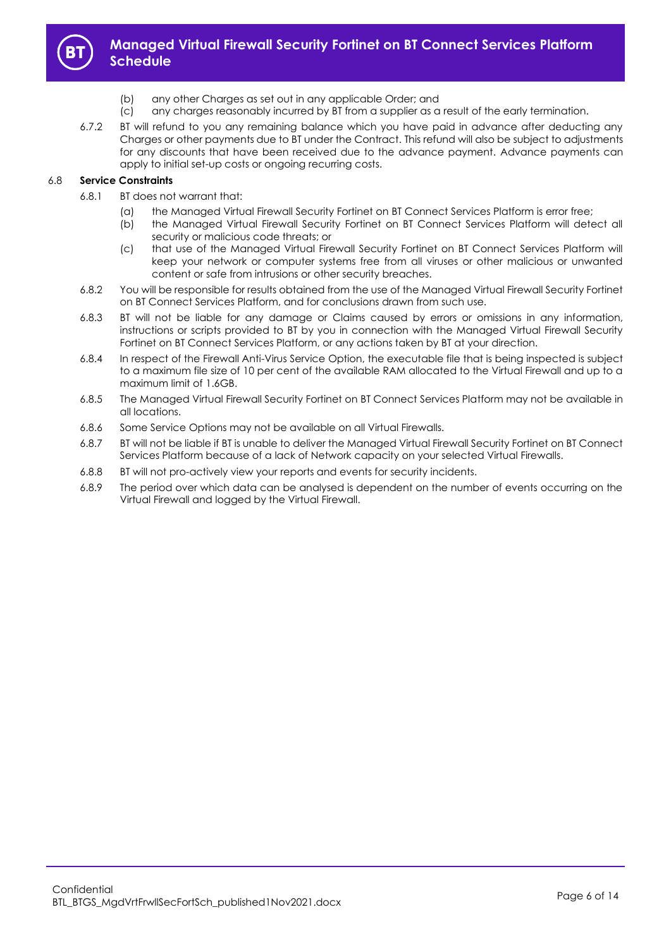

- (b) any other Charges as set out in any applicable Order; and
- (c) any charges reasonably incurred by BT from a supplier as a result of the early termination.
- 6.7.2 BT will refund to you any remaining balance which you have paid in advance after deducting any Charges or other payments due to BT under the Contract. This refund will also be subject to adjustments for any discounts that have been received due to the advance payment. Advance payments can apply to initial set-up costs or ongoing recurring costs.

## <span id="page-5-0"></span>6.8 **Service Constraints**

- 6.8.1 BT does not warrant that:
	- (a) the Managed Virtual Firewall Security Fortinet on BT Connect Services Platform is error free;
	- (b) the Managed Virtual Firewall Security Fortinet on BT Connect Services Platform will detect all security or malicious code threats; or
	- (c) that use of the Managed Virtual Firewall Security Fortinet on BT Connect Services Platform will keep your network or computer systems free from all viruses or other malicious or unwanted content or safe from intrusions or other security breaches.
- 6.8.2 You will be responsible for results obtained from the use of the Managed Virtual Firewall Security Fortinet on BT Connect Services Platform, and for conclusions drawn from such use.
- 6.8.3 BT will not be liable for any damage or Claims caused by errors or omissions in any information, instructions or scripts provided to BT by you in connection with the Managed Virtual Firewall Security Fortinet on BT Connect Services Platform, or any actions taken by BT at your direction.
- 6.8.4 In respect of the Firewall Anti-Virus Service Option, the executable file that is being inspected is subject to a maximum file size of 10 per cent of the available RAM allocated to the Virtual Firewall and up to a maximum limit of 1.6GB.
- 6.8.5 The Managed Virtual Firewall Security Fortinet on BT Connect Services Platform may not be available in all locations.
- 6.8.6 Some Service Options may not be available on all Virtual Firewalls.
- 6.8.7 BT will not be liable if BT is unable to deliver the Managed Virtual Firewall Security Fortinet on BT Connect Services Platform because of a lack of Network capacity on your selected Virtual Firewalls.
- 6.8.8 BT will not pro-actively view your reports and events for security incidents.
- 6.8.9 The period over which data can be analysed is dependent on the number of events occurring on the Virtual Firewall and logged by the Virtual Firewall.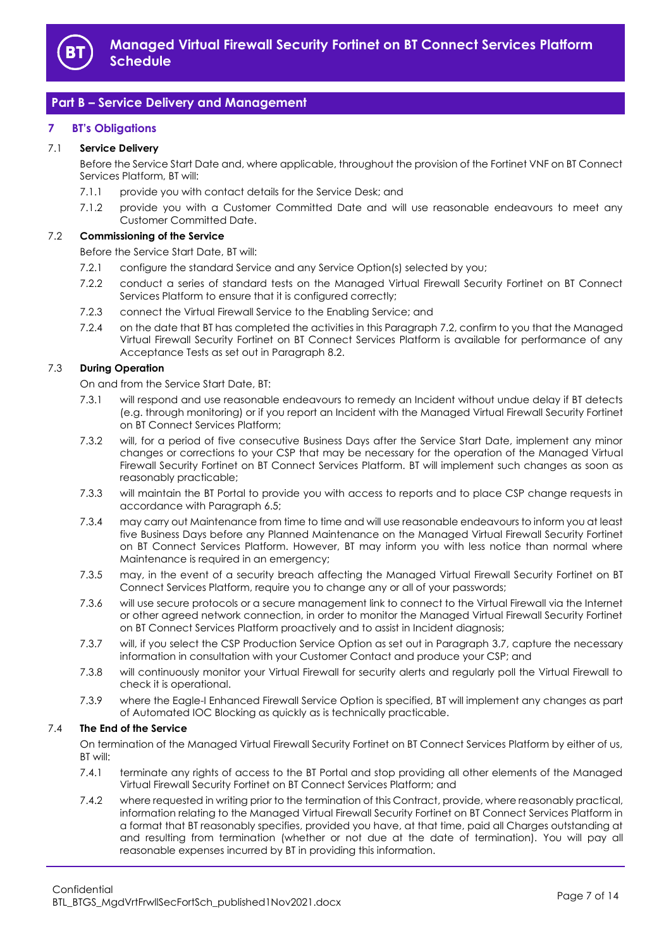

# <span id="page-6-0"></span>**Part B – Service Delivery and Management**

## <span id="page-6-1"></span>**7 BT's Obligations**

## 7.1 **Service Delivery**

Before the Service Start Date and, where applicable, throughout the provision of the Fortinet VNF on BT Connect Services Platform, BT will:

- 7.1.1 provide you with contact details for the Service Desk; and
- 7.1.2 provide you with a Customer Committed Date and will use reasonable endeavours to meet any Customer Committed Date.

## <span id="page-6-3"></span>7.2 **Commissioning of the Service**

Before the Service Start Date, BT will:

- 7.2.1 configure the standard Service and any Service Option(s) selected by you;
- 7.2.2 conduct a series of standard tests on the Managed Virtual Firewall Security Fortinet on BT Connect Services Platform to ensure that it is configured correctly;
- 7.2.3 connect the Virtual Firewall Service to the Enabling Service; and
- <span id="page-6-4"></span>7.2.4 on the date that BT has completed the activities in this Paragrap[h 7.2,](#page-6-3) confirm to you that the Managed Virtual Firewall Security Fortinet on BT Connect Services Platform is available for performance of any Acceptance Tests as set out in Paragraph [8.2.](#page-7-1)

## <span id="page-6-5"></span>7.3 **During Operation**

On and from the Service Start Date, BT:

- 7.3.1 will respond and use reasonable endeavours to remedy an Incident without undue delay if BT detects (e.g. through monitoring) or if you report an Incident with the Managed Virtual Firewall Security Fortinet on BT Connect Services Platform;
- 7.3.2 will, for a period of five consecutive Business Days after the Service Start Date, implement any minor changes or corrections to your CSP that may be necessary for the operation of the Managed Virtual Firewall Security Fortinet on BT Connect Services Platform. BT will implement such changes as soon as reasonably practicable;
- 7.3.3 will maintain the BT Portal to provide you with access to reports and to place CSP change requests in accordance with Paragraph [6.5;](#page-4-0)
- 7.3.4 may carry out Maintenance from time to time and will use reasonable endeavours to inform you at least five Business Days before any Planned Maintenance on the Managed Virtual Firewall Security Fortinet on BT Connect Services Platform. However, BT may inform you with less notice than normal where Maintenance is required in an emergency;
- 7.3.5 may, in the event of a security breach affecting the Managed Virtual Firewall Security Fortinet on BT Connect Services Platform, require you to change any or all of your passwords;
- 7.3.6 will use secure protocols or a secure management link to connect to the Virtual Firewall via the Internet or other agreed network connection, in order to monitor the Managed Virtual Firewall Security Fortinet on BT Connect Services Platform proactively and to assist in Incident diagnosis;
- 7.3.7 will, if you select the CSP Production Service Option as set out in Paragraph [3.7,](#page-2-2) capture the necessary information in consultation with your Customer Contact and produce your CSP; and
- 7.3.8 will continuously monitor your Virtual Firewall for security alerts and regularly poll the Virtual Firewall to check it is operational.
- 7.3.9 where the Eagle-I Enhanced Firewall Service Option is specified, BT will implement any changes as part of Automated IOC Blocking as quickly as is technically practicable.

#### 7.4 **The End of the Service**

On termination of the Managed Virtual Firewall Security Fortinet on BT Connect Services Platform by either of us, BT will:

- 7.4.1 terminate any rights of access to the BT Portal and stop providing all other elements of the Managed Virtual Firewall Security Fortinet on BT Connect Services Platform; and
- <span id="page-6-2"></span>7.4.2 where requested in writing prior to the termination of this Contract, provide, where reasonably practical, information relating to the Managed Virtual Firewall Security Fortinet on BT Connect Services Platform in a format that BT reasonably specifies, provided you have, at that time, paid all Charges outstanding at and resulting from termination (whether or not due at the date of termination). You will pay all reasonable expenses incurred by BT in providing this information.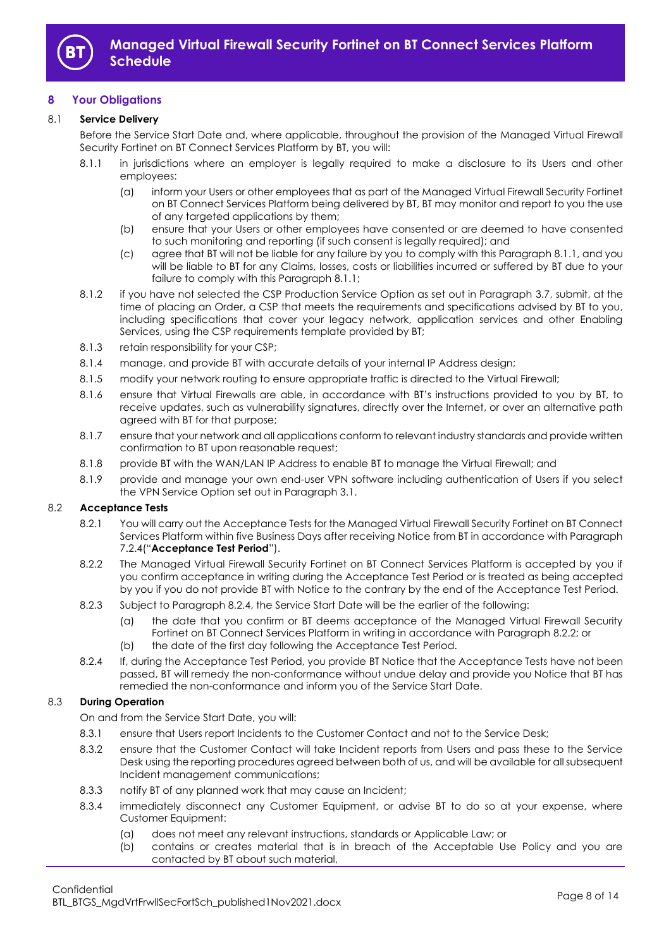

## <span id="page-7-0"></span>**8 Your Obligations**

### 8.1 **Service Delivery**

Before the Service Start Date and, where applicable, throughout the provision of the Managed Virtual Firewall Security Fortinet on BT Connect Services Platform by BT, you will:

- <span id="page-7-2"></span>8.1.1 in jurisdictions where an employer is legally required to make a disclosure to its Users and other employees:
	- (a) inform your Users or other employees that as part of the Managed Virtual Firewall Security Fortinet on BT Connect Services Platform being delivered by BT, BT may monitor and report to you the use of any targeted applications by them;
	- (b) ensure that your Users or other employees have consented or are deemed to have consented to such monitoring and reporting (if such consent is legally required); and
	- (c) agree that BT will not be liable for any failure by you to comply with this Paragraph [8.1.1,](#page-7-2) and you will be liable to BT for any Claims, losses, costs or liabilities incurred or suffered by BT due to your failure to comply with this Paragrap[h 8.1.1;](#page-7-2)
- 8.1.2 if you have not selected the CSP Production Service Option as set out in Paragraph [3.7,](#page-2-2) submit, at the time of placing an Order, a CSP that meets the requirements and specifications advised by BT to you, including specifications that cover your legacy network, application services and other Enabling Services, using the CSP requirements template provided by BT;
- 8.1.3 retain responsibility for your CSP;
- 8.1.4 manage, and provide BT with accurate details of your internal IP Address design;
- 8.1.5 modify your network routing to ensure appropriate traffic is directed to the Virtual Firewall;
- 8.1.6 ensure that Virtual Firewalls are able, in accordance with BT's instructions provided to you by BT, to receive updates, such as vulnerability signatures, directly over the Internet, or over an alternative path agreed with BT for that purpose;
- 8.1.7 ensure that your network and all applications conform to relevant industry standards and provide written confirmation to BT upon reasonable request;
- 8.1.8 provide BT with the WAN/LAN IP Address to enable BT to manage the Virtual Firewall; and
- 8.1.9 provide and manage your own end-user VPN software including authentication of Users if you select the VPN Service Option set out in Paragrap[h 3.1.](#page-1-8)

#### <span id="page-7-5"></span><span id="page-7-1"></span>8.2 **Acceptance Tests**

- 8.2.1 You will carry out the Acceptance Tests for the Managed Virtual Firewall Security Fortinet on BT Connect Services Platform within five Business Days after receiving Notice from BT in accordance with Paragraph [7.2.4\(](#page-6-4)"**Acceptance Test Period**").
- <span id="page-7-4"></span>8.2.2 The Managed Virtual Firewall Security Fortinet on BT Connect Services Platform is accepted by you if you confirm acceptance in writing during the Acceptance Test Period or is treated as being accepted by you if you do not provide BT with Notice to the contrary by the end of the Acceptance Test Period.
- 8.2.3 Subject to Paragraph [8.2.4,](#page-7-3) the Service Start Date will be the earlier of the following:
	- (a) the date that you confirm or BT deems acceptance of the Managed Virtual Firewall Security Fortinet on BT Connect Services Platform in writing in accordance with Paragraph [8.2.2;](#page-7-4) or
	- (b) the date of the first day following the Acceptance Test Period.
- <span id="page-7-3"></span>8.2.4 If, during the Acceptance Test Period, you provide BT Notice that the Acceptance Tests have not been passed, BT will remedy the non-conformance without undue delay and provide you Notice that BT has remedied the non-conformance and inform you of the Service Start Date.

#### 8.3 **During Operation**

On and from the Service Start Date, you will:

- 8.3.1 ensure that Users report Incidents to the Customer Contact and not to the Service Desk;
- 8.3.2 ensure that the Customer Contact will take Incident reports from Users and pass these to the Service Desk using the reporting procedures agreed between both of us, and will be available for all subsequent Incident management communications;
- 8.3.3 notify BT of any planned work that may cause an Incident;
- 8.3.4 immediately disconnect any Customer Equipment, or advise BT to do so at your expense, where Customer Equipment:
	- (a) does not meet any relevant instructions, standards or Applicable Law; or
	- (b) contains or creates material that is in breach of the Acceptable Use Policy and you are contacted by BT about such material,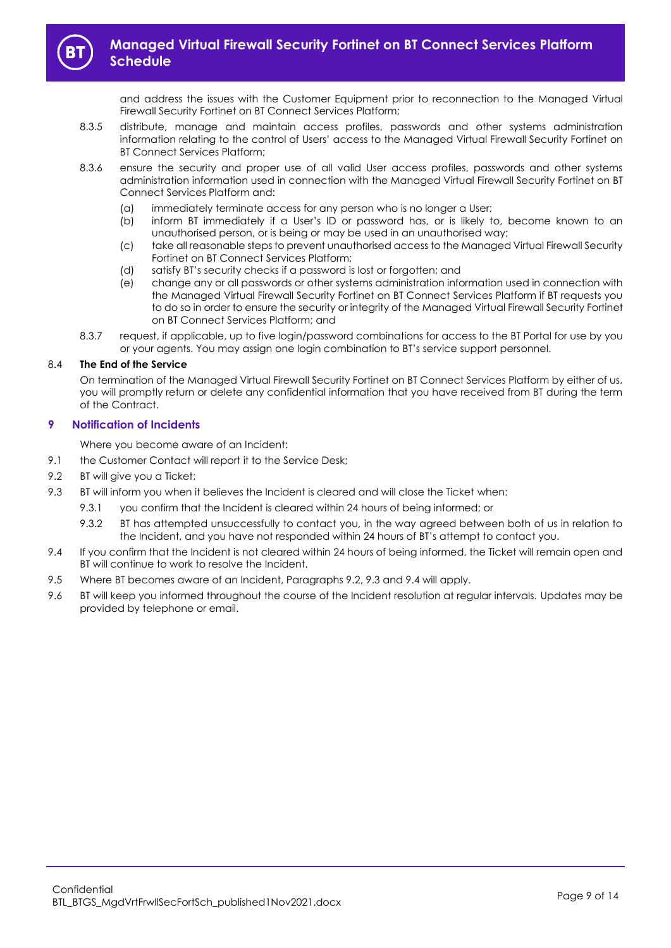

and address the issues with the Customer Equipment prior to reconnection to the Managed Virtual Firewall Security Fortinet on BT Connect Services Platform;

- 8.3.5 distribute, manage and maintain access profiles, passwords and other systems administration information relating to the control of Users' access to the Managed Virtual Firewall Security Fortinet on BT Connect Services Platform;
- 8.3.6 ensure the security and proper use of all valid User access profiles, passwords and other systems administration information used in connection with the Managed Virtual Firewall Security Fortinet on BT Connect Services Platform and:
	- (a) immediately terminate access for any person who is no longer a User;
	- (b) inform BT immediately if a User's ID or password has, or is likely to, become known to an unauthorised person, or is being or may be used in an unauthorised way;
	- (c) take all reasonable steps to prevent unauthorised access to the Managed Virtual Firewall Security Fortinet on BT Connect Services Platform;
	- (d) satisfy BT's security checks if a password is lost or forgotten; and
	- (e) change any or all passwords or other systems administration information used in connection with the Managed Virtual Firewall Security Fortinet on BT Connect Services Platform if BT requests you to do so in order to ensure the security or integrity of the Managed Virtual Firewall Security Fortinet on BT Connect Services Platform; and
- 8.3.7 request, if applicable, up to five login/password combinations for access to the BT Portal for use by you or your agents. You may assign one login combination to BT's service support personnel.

## 8.4 **The End of the Service**

On termination of the Managed Virtual Firewall Security Fortinet on BT Connect Services Platform by either of us, you will promptly return or delete any confidential information that you have received from BT during the term of the Contract.

## <span id="page-8-0"></span>**9 Notification of Incidents**

Where you become aware of an Incident:

- 9.1 the Customer Contact will report it to the Service Desk;
- <span id="page-8-1"></span>9.2 BT will give you a Ticket;
- <span id="page-8-2"></span>9.3 BT will inform you when it believes the Incident is cleared and will close the Ticket when:
	- 9.3.1 you confirm that the Incident is cleared within 24 hours of being informed; or
	- 9.3.2 BT has attempted unsuccessfully to contact you, in the way agreed between both of us in relation to the Incident, and you have not responded within 24 hours of BT's attempt to contact you.
- <span id="page-8-3"></span>9.4 If you confirm that the Incident is not cleared within 24 hours of being informed, the Ticket will remain open and BT will continue to work to resolve the Incident.
- 9.5 Where BT becomes aware of an Incident, Paragraphs [9.2,](#page-8-1) [9.3](#page-8-2) and [9.4](#page-8-3) will apply.
- 9.6 BT will keep you informed throughout the course of the Incident resolution at regular intervals. Updates may be provided by telephone or email.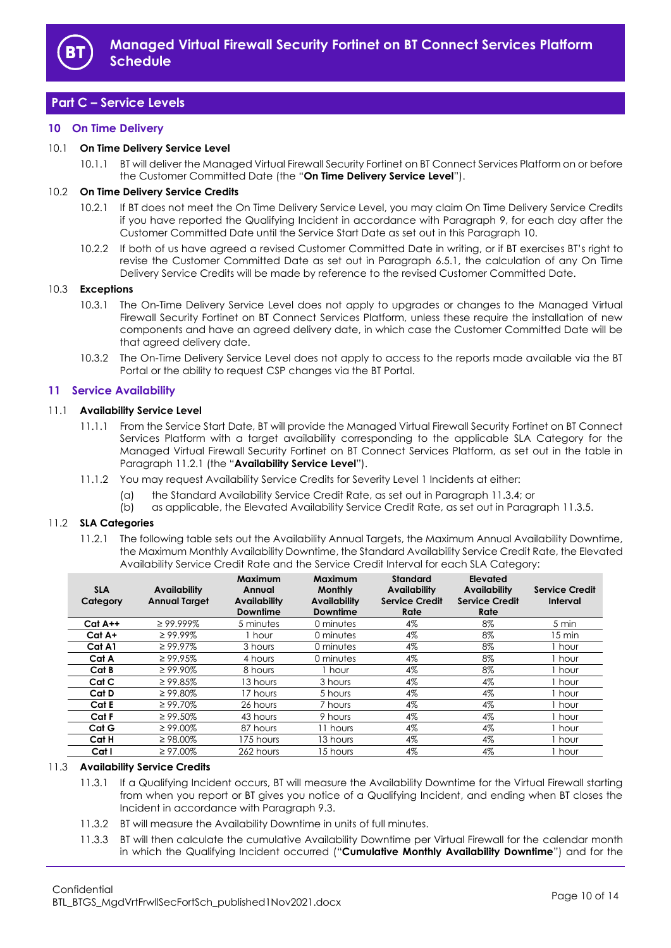

# <span id="page-9-0"></span>**Part C – Service Levels**

## <span id="page-9-1"></span>**10 On Time Delivery**

#### <span id="page-9-7"></span>10.1 **On Time Delivery Service Level**

10.1.1 BT will deliver the Managed Virtual Firewall Security Fortinet on BT Connect Services Platform on or before the Customer Committed Date (the "**On Time Delivery Service Level**").

#### 10.2 **On Time Delivery Service Credits**

- 10.2.1 If BT does not meet the On Time Delivery Service Level, you may claim On Time Delivery Service Credits if you have reported the Qualifying Incident in accordance with Paragraph [9,](#page-8-0) for each day after the Customer Committed Date until the Service Start Date as set out in this Paragraph [10.](#page-9-1)
- 10.2.2 If both of us have agreed a revised Customer Committed Date in writing, or if BT exercises BT's right to revise the Customer Committed Date as set out in Paragraph [6.5.1,](#page-4-1) the calculation of any On Time Delivery Service Credits will be made by reference to the revised Customer Committed Date.

#### 10.3 **Exceptions**

- 10.3.1 The On-Time Delivery Service Level does not apply to upgrades or changes to the Managed Virtual Firewall Security Fortinet on BT Connect Services Platform, unless these require the installation of new components and have an agreed delivery date, in which case the Customer Committed Date will be that agreed delivery date.
- 10.3.2 The On-Time Delivery Service Level does not apply to access to the reports made available via the BT Portal or the ability to request CSP changes via the BT Portal.

## <span id="page-9-2"></span>**11 Service Availability**

#### <span id="page-9-5"></span>11.1 **Availability Service Level**

- 11.1.1 From the Service Start Date, BT will provide the Managed Virtual Firewall Security Fortinet on BT Connect Services Platform with a target availability corresponding to the applicable SLA Category for the Managed Virtual Firewall Security Fortinet on BT Connect Services Platform, as set out in the table in Paragrap[h 11.2.1](#page-9-3) (the "**Availability Service Level**").
- 11.1.2 You may request Availability Service Credits for Severity Level 1 Incidents at either:
	- (a) the Standard Availability Service Credit Rate, as set out in Paragraph [11.3.4;](#page-10-2) or
	- (b) as applicable, the Elevated Availability Service Credit Rate, as set out in Paragraph [11.3.5.](#page-10-3)

## <span id="page-9-3"></span>11.2 **SLA Categories**

11.2.1 The following table sets out the Availability Annual Targets, the Maximum Annual Availability Downtime, the Maximum Monthly Availability Downtime, the Standard Availability Service Credit Rate, the Elevated Availability Service Credit Rate and the Service Credit Interval for each SLA Category:

| <b>SLA</b><br>Category | Availability<br><b>Annual Target</b> | Maximum<br>Annual<br><b>Availability</b><br><b>Downtime</b> | <b>Maximum</b><br><b>Monthly</b><br><b>Availability</b><br><b>Downtime</b> | <b>Standard</b><br><b>Availability</b><br><b>Service Credit</b><br>Rate | Elevated<br>Availability<br><b>Service Credit</b><br>Rate | <b>Service Credit</b><br>Interval |
|------------------------|--------------------------------------|-------------------------------------------------------------|----------------------------------------------------------------------------|-------------------------------------------------------------------------|-----------------------------------------------------------|-----------------------------------|
| $Cat A++$              | $\geq$ 99.999%                       | 5 minutes                                                   | 0 minutes                                                                  | 4%                                                                      | 8%                                                        | 5 min                             |
| Cat A+                 | $\geq 99.99\%$                       | I hour                                                      | 0 minutes                                                                  | 4%                                                                      | 8%                                                        | 15 min                            |
| Cat A1                 | $\geq 99.97\%$                       | 3 hours                                                     | 0 minutes                                                                  | 4%                                                                      | 8%                                                        | hour                              |
| Cat A                  | $\geq 99.95\%$                       | 4 hours                                                     | 0 minutes                                                                  | 4%                                                                      | 8%                                                        | hour                              |
| Cat B                  | $\geq 99.90\%$                       | 8 hours                                                     | 1 hour                                                                     | 4%                                                                      | 8%                                                        | hour                              |
| Cat C                  | $\geq 99.85\%$                       | 13 hours                                                    | 3 hours                                                                    | 4%                                                                      | 4%                                                        | hour                              |
| Cat D                  | $\geq 99.80\%$                       | 17 hours                                                    | 5 hours                                                                    | 4%                                                                      | 4%                                                        | hour                              |
| Cat E                  | $\geq 99.70\%$                       | 26 hours                                                    | 7 hours                                                                    | 4%                                                                      | 4%                                                        | l hour                            |
| Cat F                  | $\geq 99.50\%$                       | 43 hours                                                    | 9 hours                                                                    | 4%                                                                      | 4%                                                        | hour                              |
| Cat G                  | $\geq 99.00\%$                       | 87 hours                                                    | 11 hours                                                                   | 4%                                                                      | 4%                                                        | hour                              |
| Cat H                  | $\geq 98.00\%$                       | 175 hours                                                   | 13 hours                                                                   | 4%                                                                      | 4%                                                        | hour                              |
| Cat I                  | $\geq 97.00\%$                       | 262 hours                                                   | 15 hours                                                                   | 4%                                                                      | 4%                                                        | hour                              |

#### <span id="page-9-4"></span>11.3 **Availability Service Credits**

- 11.3.1 If a Qualifying Incident occurs, BT will measure the Availability Downtime for the Virtual Firewall starting from when you report or BT gives you notice of a Qualifying Incident, and ending when BT closes the Incident in accordance with Paragraph [9.3.](#page-8-2)
- 11.3.2 BT will measure the Availability Downtime in units of full minutes.
- <span id="page-9-6"></span>11.3.3 BT will then calculate the cumulative Availability Downtime per Virtual Firewall for the calendar month in which the Qualifying Incident occurred ("**Cumulative Monthly Availability Downtime**") and for the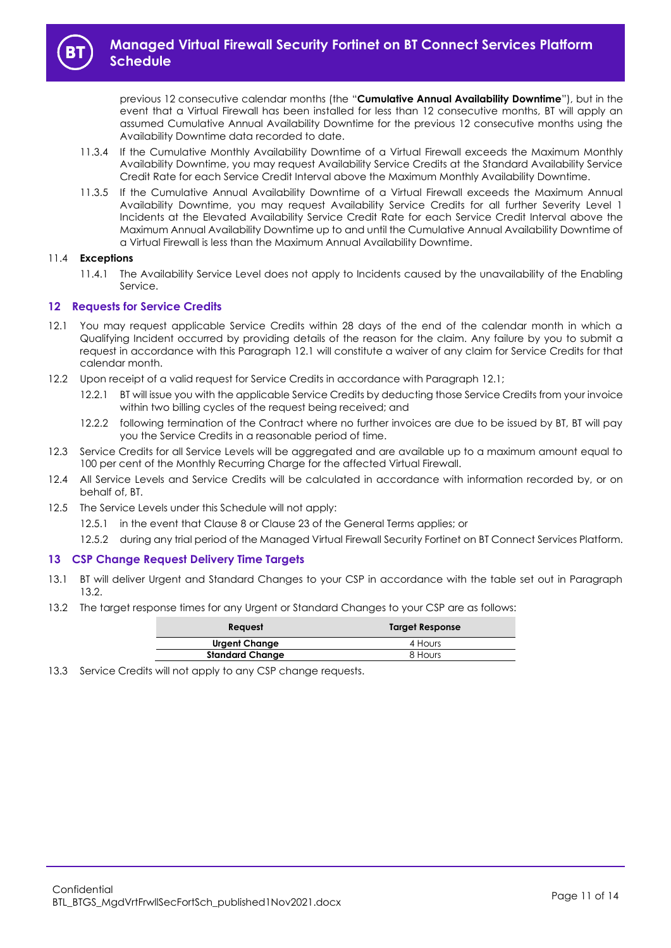

previous 12 consecutive calendar months (the "**Cumulative Annual Availability Downtime**"), but in the event that a Virtual Firewall has been installed for less than 12 consecutive months, BT will apply an assumed Cumulative Annual Availability Downtime for the previous 12 consecutive months using the Availability Downtime data recorded to date.

- <span id="page-10-2"></span>11.3.4 If the Cumulative Monthly Availability Downtime of a Virtual Firewall exceeds the Maximum Monthly Availability Downtime, you may request Availability Service Credits at the Standard Availability Service Credit Rate for each Service Credit Interval above the Maximum Monthly Availability Downtime.
- <span id="page-10-3"></span>11.3.5 If the Cumulative Annual Availability Downtime of a Virtual Firewall exceeds the Maximum Annual Availability Downtime, you may request Availability Service Credits for all further Severity Level 1 Incidents at the Elevated Availability Service Credit Rate for each Service Credit Interval above the Maximum Annual Availability Downtime up to and until the Cumulative Annual Availability Downtime of a Virtual Firewall is less than the Maximum Annual Availability Downtime.

## 11.4 **Exceptions**

11.4.1 The Availability Service Level does not apply to Incidents caused by the unavailability of the Enabling Service.

## <span id="page-10-0"></span>**12 Requests for Service Credits**

- <span id="page-10-4"></span>12.1 You may request applicable Service Credits within 28 days of the end of the calendar month in which a Qualifying Incident occurred by providing details of the reason for the claim. Any failure by you to submit a request in accordance with this Paragraph [12.1](#page-10-4) will constitute a waiver of any claim for Service Credits for that calendar month.
- 12.2 Upon receipt of a valid request for Service Credits in accordance with Paragraph [12.1;](#page-10-4)
	- 12.2.1 BT will issue you with the applicable Service Credits by deducting those Service Credits from your invoice within two billing cycles of the request being received; and
	- 12.2.2 following termination of the Contract where no further invoices are due to be issued by BT, BT will pay you the Service Credits in a reasonable period of time.
- 12.3 Service Credits for all Service Levels will be aggregated and are available up to a maximum amount equal to 100 per cent of the Monthly Recurring Charge for the affected Virtual Firewall.
- 12.4 All Service Levels and Service Credits will be calculated in accordance with information recorded by, or on behalf of, BT.
- 12.5 The Service Levels under this Schedule will not apply:
	- 12.5.1 in the event that Clause 8 or Clause 23 of the General Terms applies; or
	- 12.5.2 during any trial period of the Managed Virtual Firewall Security Fortinet on BT Connect Services Platform.

## <span id="page-10-1"></span>**13 CSP Change Request Delivery Time Targets**

- 13.1 BT will deliver Urgent and Standard Changes to your CSP in accordance with the table set out in Paragraph [13.2.](#page-10-5)
- <span id="page-10-5"></span>13.2 The target response times for any Urgent or Standard Changes to your CSP are as follows:

| Target Response |  |  |
|-----------------|--|--|
| 4 Hours         |  |  |
| 8 Hours         |  |  |
|                 |  |  |

13.3 Service Credits will not apply to any CSP change requests.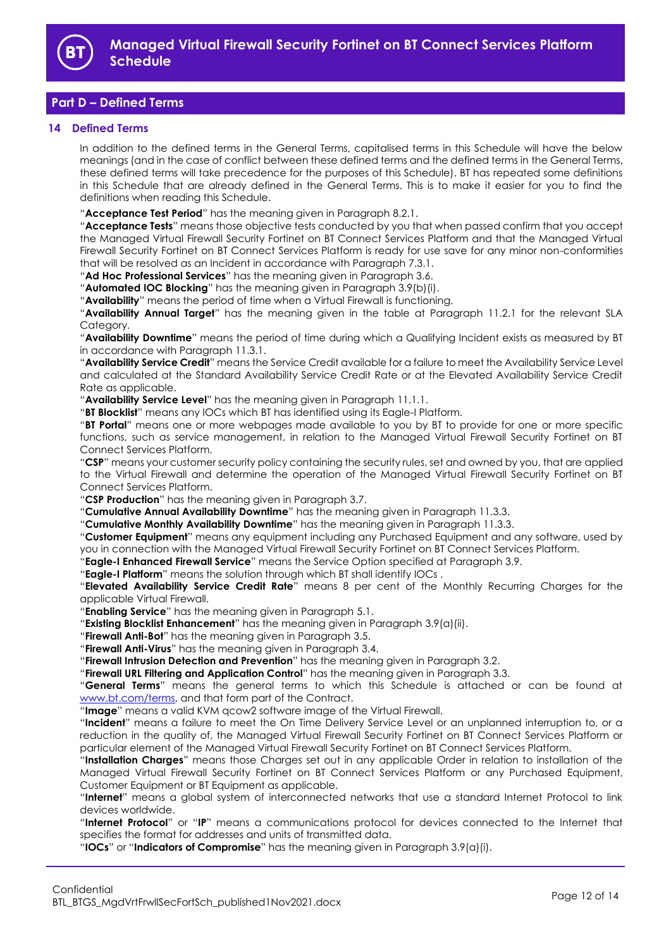

# <span id="page-11-0"></span>**Part D – Defined Terms**

## <span id="page-11-1"></span>**14 Defined Terms**

In addition to the defined terms in the General Terms, capitalised terms in this Schedule will have the below meanings (and in the case of conflict between these defined terms and the defined terms in the General Terms, these defined terms will take precedence for the purposes of this Schedule). BT has repeated some definitions in this Schedule that are already defined in the General Terms. This is to make it easier for you to find the definitions when reading this Schedule.

"**Acceptance Test Period**" has the meaning given in Paragrap[h 8.2.1.](#page-7-5)

"**Acceptance Tests**" means those objective tests conducted by you that when passed confirm that you accept the Managed Virtual Firewall Security Fortinet on BT Connect Services Platform and that the Managed Virtual Firewall Security Fortinet on BT Connect Services Platform is ready for use save for any minor non-conformities that will be resolved as an Incident in accordance with Paragraph [7.3.1.](#page-6-5)

"**Ad Hoc Professional Services**" has the meaning given in Paragraph 3.6.

"**Automated IOC Blocking**" has the meaning given in Paragrap[h 3.9\(b\)\(i\).](#page-2-1)

"**Availability**" means the period of time when a Virtual Firewall is functioning.

"**Availability Annual Target**" has the meaning given in the table at Paragraph [11.2.1](#page-9-3) for the relevant SLA Category.

"**Availability Downtime**" means the period of time during which a Qualifying Incident exists as measured by BT in accordance with Paragrap[h 11.3.1.](#page-9-4)

"**Availability Service Credit**" means the Service Credit available for a failure to meet the Availability Service Level and calculated at the Standard Availability Service Credit Rate or at the Elevated Availability Service Credit Rate as applicable.

"**Availability Service Level**" has the meaning given in Paragraph [11.1.1.](#page-9-5)

"**BT Blocklist**" means any IOCs which BT has identified using its Eagle-I Platform.

"**BT Portal**" means one or more webpages made available to you by BT to provide for one or more specific functions, such as service management, in relation to the Managed Virtual Firewall Security Fortinet on BT Connect Services Platform.

"**CSP**" means your customer security policy containing the security rules, set and owned by you, that are applied to the Virtual Firewall and determine the operation of the Managed Virtual Firewall Security Fortinet on BT Connect Services Platform.

"**CSP Production**" has the meaning given in Paragraph [3.7.](#page-2-2)

"**Cumulative Annual Availability Downtime**" has the meaning given in Paragraph [11.3.3.](#page-9-6)

"**Cumulative Monthly Availability Downtime**" has the meaning given in Paragrap[h 11.3.3.](#page-9-6)

"**Customer Equipment**" means any equipment including any Purchased Equipment and any software, used by you in connection with the Managed Virtual Firewall Security Fortinet on BT Connect Services Platform.

"**Eagle-I Enhanced Firewall Service**" means the Service Option specified at Paragraph [3.9.](#page-2-3)

"**Eagle-I Platform**" means the solution through which BT shall identify IOCs .

"**Elevated Availability Service Credit Rate**" means 8 per cent of the Monthly Recurring Charges for the applicable Virtual Firewall.

"**Enabling Service**" has the meaning given in Paragrap[h 5.1.](#page-3-7)

"**Existing Blocklist Enhancement**" has the meaning given in Paragraph [3.9\(a\)\(ii\).](#page-2-4)

"**Firewall Anti-Bot**" has the meaning given in Paragraph [3.5.](#page-2-5)

"**Firewall Anti-Virus**" has the meaning given in Paragraph [3.4.](#page-2-6)

"**Firewall Intrusion Detection and Prevention**" has the meaning given in Paragrap[h 3.2.](#page-1-6)

"**Firewall URL Filtering and Application Control**" has the meaning given in Paragrap[h 3.3.](#page-2-7)

"**General Terms**" means the general terms to which this Schedule is attached or can be found at [www.bt.com/terms,](http://www.bt.com/terms) and that form part of the Contract.

"**Image**" means a valid KVM qcow2 software image of the Virtual Firewall.

"**Incident**" means a failure to meet the On Time Delivery Service Level or an unplanned interruption to, or a reduction in the quality of, the Managed Virtual Firewall Security Fortinet on BT Connect Services Platform or particular element of the Managed Virtual Firewall Security Fortinet on BT Connect Services Platform.

"**Installation Charges**" means those Charges set out in any applicable Order in relation to installation of the Managed Virtual Firewall Security Fortinet on BT Connect Services Platform or any Purchased Equipment, Customer Equipment or BT Equipment as applicable.

"**Internet**" means a global system of interconnected networks that use a standard Internet Protocol to link devices worldwide.

"**Internet Protocol**" or "**IP**" means a communications protocol for devices connected to the Internet that specifies the format for addresses and units of transmitted data.

"**IOCs**" or "**Indicators of Compromise**" has the meaning given in Paragraph [3.9\(a\)\(i\).](#page-2-8)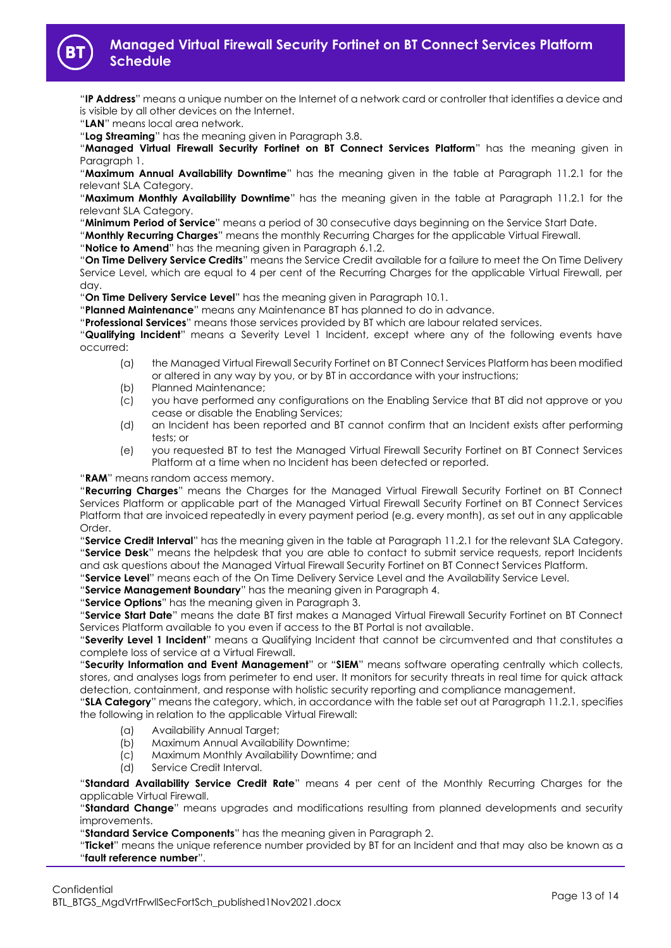

"**IP Address**" means a unique number on the Internet of a network card or controller that identifies a device and is visible by all other devices on the Internet.

"**LAN**" means local area network.

"**Log Streaming**" has the meaning given in Paragraph [3.8.](#page-2-9)

"**Managed Virtual Firewall Security Fortinet on BT Connect Services Platform**" has the meaning given in Paragraph [1.](#page-1-3)

"**Maximum Annual Availability Downtime**" has the meaning given in the table at Paragraph [11.2.1](#page-9-3) for the relevant SLA Category.

"**Maximum Monthly Availability Downtime**" has the meaning given in the table at Paragraph [11.2.1](#page-9-3) for the relevant SLA Category.

"**Minimum Period of Service**" means a period of 30 consecutive days beginning on the Service Start Date.

"**Monthly Recurring Charges**" means the monthly Recurring Charges for the applicable Virtual Firewall.

"**Notice to Amend**" has the meaning given in Paragraph [6.1.2.](#page-3-6)

"**On Time Delivery Service Credits**" means the Service Credit available for a failure to meet the On Time Delivery Service Level, which are equal to 4 per cent of the Recurring Charges for the applicable Virtual Firewall, per day.

"**On Time Delivery Service Level**" has the meaning given in Paragrap[h 10.1.](#page-9-7)

"**Planned Maintenance**" means any Maintenance BT has planned to do in advance.

"**Professional Services**" means those services provided by BT which are labour related services.

"**Qualifying Incident**" means a Severity Level 1 Incident, except where any of the following events have occurred:

- (a) the Managed Virtual Firewall Security Fortinet on BT Connect Services Platform has been modified or altered in any way by you, or by BT in accordance with your instructions;
- (b) Planned Maintenance;
- (c) you have performed any configurations on the Enabling Service that BT did not approve or you cease or disable the Enabling Services;
- (d) an Incident has been reported and BT cannot confirm that an Incident exists after performing tests; or
- (e) you requested BT to test the Managed Virtual Firewall Security Fortinet on BT Connect Services Platform at a time when no Incident has been detected or reported.

"**RAM**" means random access memory.

"**Recurring Charges**" means the Charges for the Managed Virtual Firewall Security Fortinet on BT Connect Services Platform or applicable part of the Managed Virtual Firewall Security Fortinet on BT Connect Services Platform that are invoiced repeatedly in every payment period (e.g. every month), as set out in any applicable Order.

"**Service Credit Interval**" has the meaning given in the table at Paragraph [11.2.1](#page-9-3) for the relevant SLA Category. "**Service Desk**" means the helpdesk that you are able to contact to submit service requests, report Incidents and ask questions about the Managed Virtual Firewall Security Fortinet on BT Connect Services Platform.

"**Service Level**" means each of the On Time Delivery Service Level and the Availability Service Level.

"**Service Management Boundary**" has the meaning given in Paragrap[h 4.](#page-3-0)

"**Service Options**" has the meaning given in Paragraph [3.](#page-1-5)

"**Service Start Date**" means the date BT first makes a Managed Virtual Firewall Security Fortinet on BT Connect Services Platform available to you even if access to the BT Portal is not available.

"**Severity Level 1 Incident**" means a Qualifying Incident that cannot be circumvented and that constitutes a complete loss of service at a Virtual Firewall.

"**Security Information and Event Management**" or "**SIEM**" means software operating centrally which collects, stores, and analyses logs from perimeter to end user. It monitors for security threats in real time for quick attack detection, containment, and response with holistic security reporting and compliance management.

"**SLA Category**" means the category, which, in accordance with the table set out at Paragraph [11.2.1,](#page-9-3) specifies the following in relation to the applicable Virtual Firewall:

- (a) Availability Annual Target;
- (b) Maximum Annual Availability Downtime;
- (c) Maximum Monthly Availability Downtime; and
- (d) Service Credit Interval.

"**Standard Availability Service Credit Rate**" means 4 per cent of the Monthly Recurring Charges for the applicable Virtual Firewall.

"**Standard Change**" means upgrades and modifications resulting from planned developments and security improvements.

"**Standard Service Components**" has the meaning given in Paragraph [2.](#page-1-4)

"**Ticket**" means the unique reference number provided by BT for an Incident and that may also be known as a "**fault reference number**".